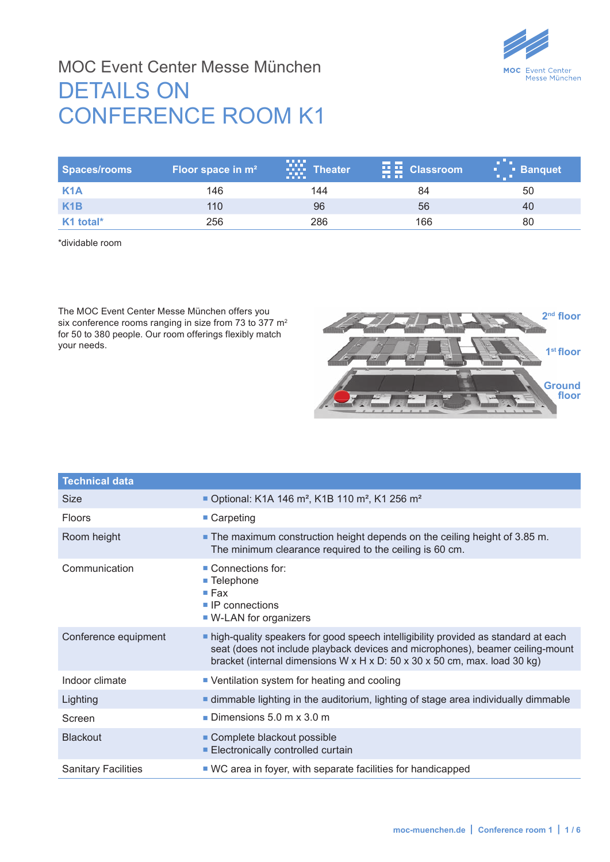

#### MOC Event Center Messe München DETAILS ON CONFERENCE ROOM K1

| Spaces/rooms     | Floor space in m <sup>2</sup> | .<br><b>Theater</b><br><b>FREE</b> | $\frac{1}{2}$ $\frac{1}{2}$ Classroom<br><b>THE REAL</b> | <b>Letter</b> Banquet |
|------------------|-------------------------------|------------------------------------|----------------------------------------------------------|-----------------------|
| K <sub>1</sub> A | 146                           | 144                                | 84                                                       | 50                    |
| K <sub>1</sub> B | 110                           | 96                                 | 56                                                       | 40                    |
| K1 total*        | 256                           | 286                                | 166                                                      | 80                    |

\*dividable room

The MOC Event Center Messe München offers you six conference rooms ranging in size from 73 to 377 m<sup>2</sup> for 50 to 380 people. Our room offerings flexibly match your needs.



| <b>Technical data</b>      |                                                                                                                                                                                                                                                                     |
|----------------------------|---------------------------------------------------------------------------------------------------------------------------------------------------------------------------------------------------------------------------------------------------------------------|
| Size                       | • Optional: K1A 146 m <sup>2</sup> , K1B 110 m <sup>2</sup> , K1 256 m <sup>2</sup>                                                                                                                                                                                 |
| <b>Floors</b>              | $\blacksquare$ Carpeting                                                                                                                                                                                                                                            |
| Room height                | ■ The maximum construction height depends on the ceiling height of 3.85 m.<br>The minimum clearance required to the ceiling is 60 cm.                                                                                                                               |
| Communication              | Connections for:<br>■ Telephone<br>$\blacksquare$ Fax<br>$\blacksquare$ IP connections<br>■ W-LAN for organizers                                                                                                                                                    |
| Conference equipment       | lacktriangleright high-quality speakers for good speech intelligibility provided as standard at each<br>seat (does not include playback devices and microphones), beamer ceiling-mount<br>bracket (internal dimensions W x H x D: 50 x 30 x 50 cm, max. load 30 kg) |
| Indoor climate             | • Ventilation system for heating and cooling                                                                                                                                                                                                                        |
| Lighting                   | <b>E</b> dimmable lighting in the auditorium, lighting of stage area individually dimmable                                                                                                                                                                          |
| Screen                     | Dimensions 5.0 m $\times$ 3.0 m                                                                                                                                                                                                                                     |
| <b>Blackout</b>            | • Complete blackout possible<br><b>Electronically controlled curtain</b>                                                                                                                                                                                            |
| <b>Sanitary Facilities</b> | ■ WC area in foyer, with separate facilities for handicapped                                                                                                                                                                                                        |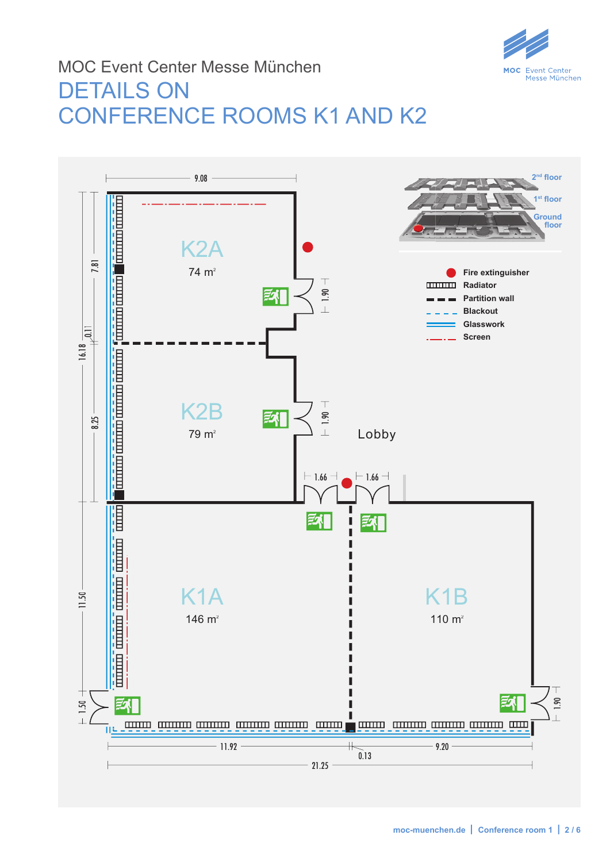

# MOC Event Center Messe München DETAILS ON CONFERENCE ROOMS K1 AND K2

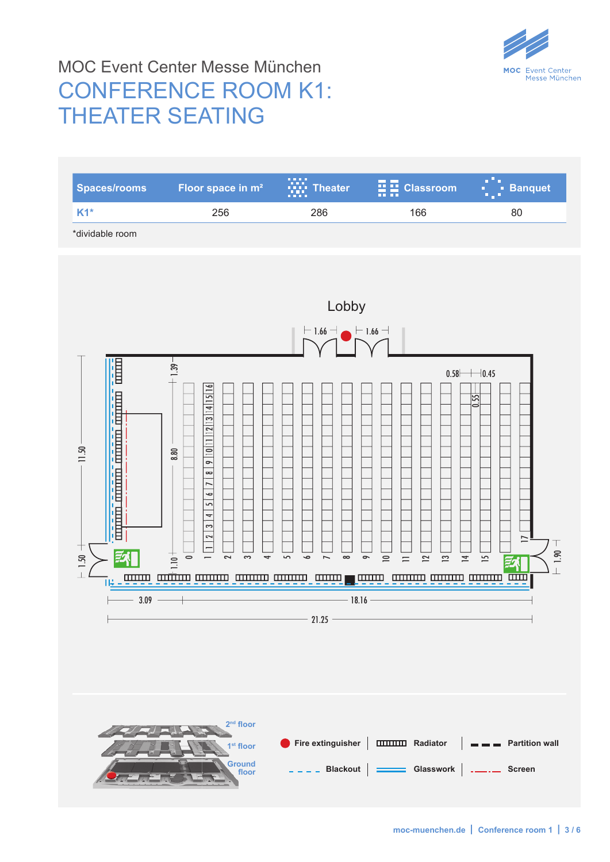

# MOC Event Center Messe München CONFERENCE ROOM K1: THEATER SEATING

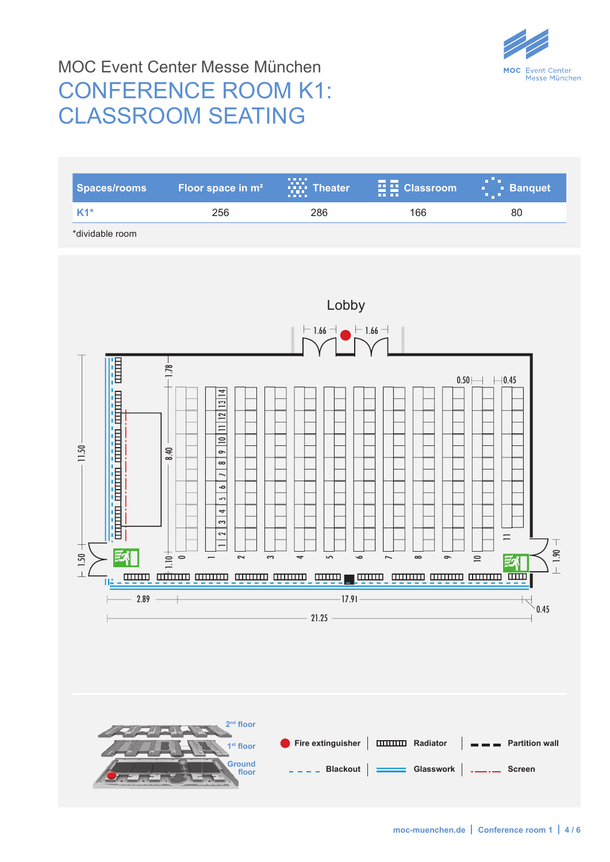

# MOC Event Center Messe München CONFERENCE ROOM K1: CLASSROOM SEATING

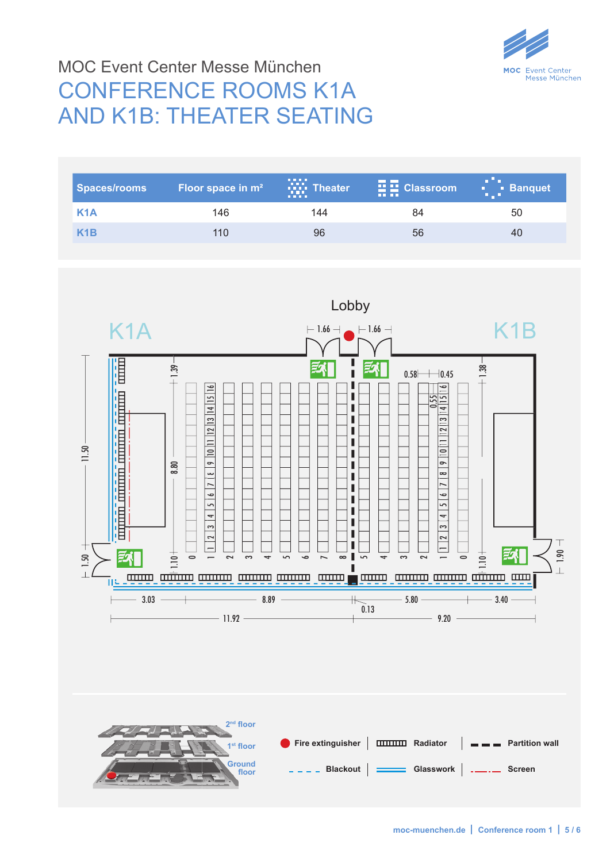

# MOC Event Center Messe München CONFERENCE ROOMS K1A AND K1B: THEATER SEATING

| <b>Spaces/rooms</b> | <b>Floor space in m<sup>2</sup></b> | $\prod_{i=1}^{n}$ Theater<br><b>DELLE</b> | $\frac{1}{2}$ $\frac{1}{2}$ Classroom<br><b>TELETI</b> | $\begin{array}{cc} \bullet & \bullet & \bullet \\ \bullet & \bullet & \bullet \end{array}$ Banquet |
|---------------------|-------------------------------------|-------------------------------------------|--------------------------------------------------------|----------------------------------------------------------------------------------------------------|
| K <sub>1</sub> A    | 146                                 | 144                                       | 84                                                     | 50                                                                                                 |
| $X$ 1B              | 110                                 | 96                                        | 56                                                     | 40                                                                                                 |